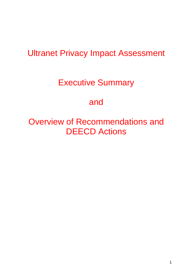## Ultranet Privacy Impact Assessment

## Executive Summary

### and

Overview of Recommendations and DEECD Actions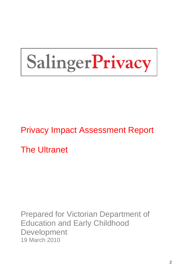# SalingerPrivacy

Privacy Impact Assessment Report

The Ultranet

Prepared for Victorian Department of Education and Early Childhood Development 19 March 2010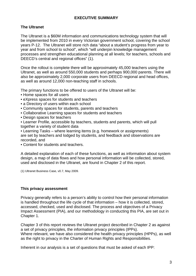#### **EXECUTIVE SUMMARY**

#### **The Ultranet**

The Ultranet is a \$60M information and communications technology system that will be implemented from 2010 in every Victorian government school, covering the school years P-12. The Ultranet will store rich data "about a student's progress from year to year and from school to school", which "will underpin knowledge management processes and strengthen educational planning at all levels; for teachers, schools and DEECD's central and regional offices" (1).

Once the rollout is complete there will be approximately 45,000 teachers using the Ultranet, as well as around 550,000 students and perhaps 900,000 parents. There will also be approximately 2,000 corporate users from DEECD regional and head offices, as well as around 12,000 non-teaching staff in schools.

The primary functions to be offered to users of the Ultranet will be:

- Home spaces for all users
- eXpress spaces for students and teachers
- a Directory of users within each school
- Community spaces for students, parents and teachers
- Collaborative Learning spaces for students and teachers
- Design spaces for teachers
- Learner Profile, accessible by teachers, students and parents, which will pull together a variety of student data
- Learning Tasks where learning items (e.g. homework or assignments) are set by teachers and lodged by students, and feedback and observations are recorded, and
- Content for students and teachers.

A detailed explanation of each of these functions, as well as information about system design, a map of data flows and how personal information will be collected, stored, used and disclosed in the Ultranet, are found in Chapter 2 of this report.

(1) Ultranet Business Case, v0.7, May 2009.

#### **This privacy assessment**

Privacy generally refers to a person's ability to control how their personal information is handled throughout the life cycle of that information – how it is collected, stored, accessed, checked, used and disclosed. The process and objectives of a Privacy Impact Assessment (PIA), and our methodology in conducting this PIA, are set out in Chapter 1.

Chapter 3 of this report reviews the Ultranet project described in Chapter 2 as against a set of privacy principles, the information privacy principles (IPPs). Where relevant, we have also considered the health privacy principles (HPPs), as well as the right to privacy in the Charter of Human Rights and Responsibilities.

Inherent in our analysis is a set of questions that must be asked of each IPP: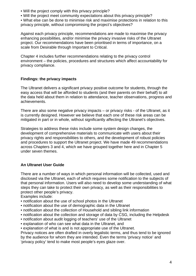- Will the project comply with this privacy principle?
- Will the project meet community expectations about this privacy principle?

• What else can be done to minimise risk and maximise protections in relation to this privacy principle, without compromising the project's objectives?

Against each privacy principle, recommendations are made to maximise the privacy enhancing possibilities, and/or minimise the privacy invasive risks of the Ultranet project. Our recommendations have been prioritised in terms of importance, on a scale from Desirable through Important to Critical.

Chapter 4 includes further recommendations relating to the privacy control environment – the policies, procedures and structures which affect accountability for privacy compliance.

#### **Findings: the privacy impacts**

The Ultranet delivers a significant privacy positive outcome for students, through the easy access that will be afforded to students (and their parents on their behalf) to all the data held about them in relation to attendance, teacher observations, progress and achievements.

There are also some negative privacy impacts – or privacy risks - of the Ultranet, as it is currently designed. However we believe that each one of these risk areas can be mitigated in part or in whole, without significantly affecting the Ultranet's objectives.

Strategies to address these risks include some system design changes, the development of comprehensive materials to communicate with users about their privacy rights and responsibilities to others, and the development of robust policies and procedures to support the Ultranet project. We have made 49 recommendations across Chapters 3 and 4, which we have grouped together here and in Chapter 5 under seven themes.

#### **An Ultranet User Guide**

There are a number of ways in which personal information will be collected, used and disclosed via the Ultranet, each of which requires some notification to the subjects of that personal information. Users will also need to develop some understanding of what steps they can take to protect their own privacy, as well as their responsibilities to protect other people's privacy.

Examples include:

- notification about the use of school photos in the Ultranet
- notification about the use of demographic data in the Ultranet
- notification about the collection of Household and sibling link information
- notification about the collection and storage of data by CSG, including the Helpdesk
- notification about audit logging of teachers' use of the Ultranet
- explanation of who can see what data in the Ultranet, and
- explanation of what is and is not appropriate use of the Ultranet.

Privacy notices are often drafted in overly legalistic terms, and thus tend to be ignored by the audience for whom they are intended. Even the terms 'privacy notice' and 'privacy policy' tend to make most people's eyes glaze over.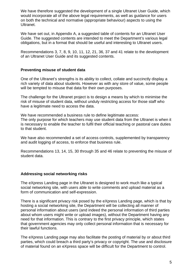We have therefore suggested the development of a single Ultranet User Guide, which would incorporate all of the above legal requirements, as well as guidance for users on both the technical and normative (appropriate behaviour) aspects to using the Ultranet.

We have set out, in Appendix A, a suggested table of contents for an Ultranet User Guide. The suggested contents are intended to meet the Department's various legal obligations, but in a format that should be useful and interesting to Ultranet users.

Recommendations 3, 7, 8, 9, 10, 11, 12, 21, 36, 37 and 41 relate to the development of an Ultranet User Guide and its suggested contents.

#### **Preventing misuse of student data**

One of the Ultranet's strengths is its ability to collect, collate and succinctly display a rich variety of data about students. However as with any store of value, some people will be tempted to misuse that data for their own purposes.

The challenge for the Ultranet project is to design a means by which to minimise the risk of misuse of student data, without unduly restricting access for those staff who have a legitimate need to access the data.

We have recommended a business rule to define legitimate access: The only purpose for which teachers may use student data from the Ultranet is when it is necessary to enable the teacher to fulfil their official teaching or pastoral care duties to that student.

We have also recommended a set of access controls, supplemented by transparency and audit logging of access, to enforce that business rule.

Recommendations 13, 14, 15, 30 through 35 and 46 relate to preventing the misuse of student data.

#### **Addressing social networking risks**

The eXpress Landing page in the Ultranet is designed to work much like a typical social networking site, with users able to write comments and upload material as a form of communication and self-expression.

There is a significant privacy risk posed by the eXpress Landing page, which is that by hosting a social networking site, the Department will be collecting all manner of personal information about users (and indeed the personal information of third parties about whom users might write or upload images), without the Department having any need for that information. This is contrary to the first privacy principle, which states that government agencies may only collect personal information that is necessary for their lawful functions.

The eXpress Landing page may also facilitate the posting of material by or about third parties, which could breach a third party's privacy or copyright. The use and disclosure of material found on an eXpress space will be difficult for the Department to control.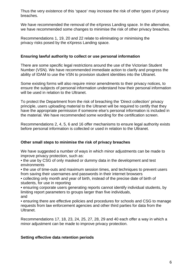Thus the very existence of this 'space' may increase the risk of other types of privacy breaches.

We have recommended the removal of the eXpress Landing space. In the alternative, we have recommended some changes to minimise the risk of other privacy breaches.

Recommendations 1, 19, 20 and 22 relate to eliminating or minimising the privacy risks posed by the eXpress Landing space.

#### **Ensuring lawful authority to collect or use personal information**

There are some specific legal restrictions around the use of the Victorian Student Number (VSN). We have recommended immediate action to clarify and progress the ability of IDAM to use the VSN to provision student identities into the Ultranet.

Some existing forms will also require minor amendments to their privacy notices, to ensure the subjects of personal information understand how their personal information will be used in relation to the Ultranet.

To protect the Department from the risk of breaching the 'Direct collection' privacy principle, users uploading material to the Ultranet will be required to certify that they have the appropriate permission if someone else's personal information is included in the material. We have recommended some wording for the certification screen.

Recommendations 2, 4, 5, 6 and 16 offer mechanisms to ensure legal authority exists before personal information is collected or used in relation to the Ultranet.

#### **Other small steps to minimise the risk of privacy breaches**

We have suggested a number of ways in which minor adjustments can be made to improve privacy protection, such as:

• the use by CSG of only masked or dummy data in the development and test environments

• the use of time-outs and maximum session times, and techniques to prevent users from saving their usernames and passwords in their internet browsers

• collecting only month and year of birth, instead of the precise date of birth of students, for use in reporting

• ensuring corporate users generating reports cannot identify individual students, by limiting report parameters to groups larger than five individuals, and

• ensuring there are effective policies and procedures for schools and CSG to manage requests from law enforcement agencies and other third parties for data from the Ultranet.

Recommendations 17, 18, 23, 24, 25, 27, 28, 29 and 40 each offer a way in which a minor adjustment can be made to improve privacy protection.

#### **Setting effective data retention periods**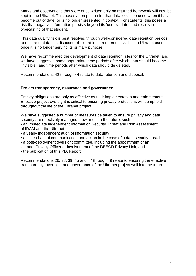Marks and observations that were once written only on returned homework will now be kept in the Ultranet. This poses a temptation for that data to still be used when it has become out of date, or is no longer presented in context. For students, this poses a risk that negative information persists beyond its 'use by' date, and results in typecasting of that student.

This data quality risk is best resolved through well-considered data retention periods, to ensure that data is disposed of – or at least rendered 'invisible' to Ultranet users – once it is no longer serving its primary purpose.

We have recommended the development of data retention rules for the Ultranet, and we have suggested some appropriate time periods after which data should become 'invisible', and time periods after which data should de deleted.

Recommendations 42 through 44 relate to data retention and disposal.

#### **Project transparency, assurance and governance**

Privacy obligations are only as effective as their implementation and enforcement. Effective project oversight is critical to ensuring privacy protections will be upheld throughout the life of the Ultranet project.

We have suggested a number of measures be taken to ensure privacy and data security are effectively managed, now and into the future, such as:

• an immediate independent Information Security Threat and Risk Assessment of IDAM and the Ultranet

• a yearly independent audit of information security

• a clear chain of communication and action in the case of a data security breach

• a post-deployment oversight committee, including the appointment of an

Ultranet Privacy Officer or involvement of the DEECD Privacy Unit, and

• the publication of this PIA Report.

Recommendations 26, 38, 39, 45 and 47 through 49 relate to ensuring the effective transparency, oversight and governance of the Ultranet project well into the future.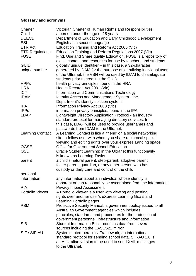#### **Glossary and acronyms**

| Charter                 | Victorian Charter of Human Rights and Responsibilities            |
|-------------------------|-------------------------------------------------------------------|
| Child                   | a person under the age of 18 years                                |
| <b>DEECD</b>            | Department of Education and Early Childhood Development           |
| <b>ESL</b>              | English as a second language                                      |
| <b>ETR Act</b>          | Education Training and Reform Act 2006 (Vic)                      |
| <b>ETR Regulations</b>  | Education Training and Reform Regulations 2007 (Vic)              |
| <b>FUSE</b>             | Find, Use and Share quality Education: FUSE is a repository of    |
|                         | digital content and resources for use by teachers and students    |
| <b>GUID</b>             | globally unique identifier – in this case, a 32-character         |
| unique number           | generated by IDAM for the purpose of identifying individual users |
|                         | of the Ultranet; the VSN will be used by IDAM to disambiguate     |
|                         | students prior to creating the GUID                               |
| <b>HPPs</b>             | health privacy principles, found in the HRA                       |
| <b>HRA</b>              | Health Records Act 2001 (Vic)                                     |
| <b>ICT</b>              | Information and Communications Technology                         |
| <b>IDAM</b>             | Identity Access and Management System - the                       |
|                         | Department's identity solution system                             |
| <b>IPA</b>              | Information Privacy Act 2000 (Vic)                                |
| <b>IPPs</b>             | information privacy principles, found in the IPA                  |
| <b>LDAP</b>             | Lightweight Directory Application Protocol - an industry          |
|                         | standard protocol for managing directory services. In             |
|                         | this case, LDAP will be used to provide usernames and             |
|                         | passwords from IDAM to the Ultranet.                              |
| <b>Learning Contact</b> | A Learning Contact is like a 'friend' on a social networking      |
|                         | site: a fellow user with whom you share reciprocal special        |
|                         | viewing and editing rights over your eXpress Landing space.       |
| <b>OGSE</b>             | <b>Office for Government School Education</b>                     |
| <b>OSL</b>              | Oracle Student Learning; in the Ultranet this functionality       |
|                         | is known as Learning Tasks                                        |
| parent                  | a child's natural parent, step-parent, adoptive parent,           |
|                         | foster parent, guardian, or any other person who has              |
|                         | custody or daily care and control of the child                    |
| personal                |                                                                   |
| information             | any information about an individual whose identity is             |
|                         | apparent or can reasonably be ascertained from the information    |
| <b>PIA</b>              | <b>Privacy Impact Assessment</b>                                  |
| <b>Portfolio Viewer</b> | A Portfolio Viewer is a user with viewing and posting             |
|                         | rights over another user's eXpress Learning Goals and             |
|                         | Learning Portfolio pages                                          |
| <b>PSM</b>              | Protective Security Manual, a government policy issued to all     |
|                         | Australian Government agencies which includes                     |
|                         | principles, standards and procedures for the protection of        |
|                         | government personnel, infrastructure and information              |
| <b>SIB</b>              | Student Information Bus - contains data from several              |
|                         | sources including the CASES21 mirror                              |
| SIF / SIF-AU            | Systems Interoperability Framework; an international              |
|                         | standard protocol for sending school data. SIF-AU 1.0 is          |
|                         | an Australian version to be used to send XML messages             |
|                         | to the Ultranet.                                                  |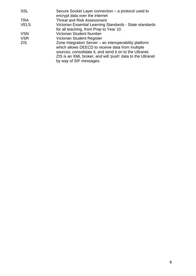| <b>SSL</b>  | Secure Socket Layer connection – a protocol used to        |
|-------------|------------------------------------------------------------|
|             | encrypt data over the internet                             |
| <b>TRA</b>  | <b>Threat and Risk Assessment</b>                          |
| <b>VELS</b> | Victorian Essential Learning Standards - State standards   |
|             | for all teaching, from Prep to Year 10.                    |
| <b>VSN</b>  | <b>Victorian Student Number</b>                            |
| <b>VSR</b>  | <b>Victorian Student Register</b>                          |
| <b>ZIS</b>  | Zone Integration Server – an interoperability platform     |
|             | which allows DEECD to receive data from multiple           |
|             | sources, consolidate it, and send it on to the Ultranet.   |
|             | ZIS is an XML broker, and will 'push' data to the Ultranet |
|             | by way of SIF messages.                                    |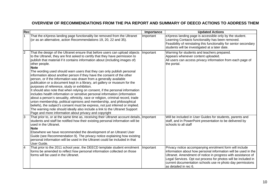#### **OVERVIEW OF RECOMMENDATIONS FROM THE PIA REPORT AND SUMMARY OF DEECD ACTIONS TO ADDRESS THEM**

| Rec            |                                                                                                                                                                                                                                                                                                                                                                                                                                                                                                                                                                                                                                                                                                                                                                                                                                                                                                                                                                                                                                                                                                                                                                                           | Importance | <b>Updated Actions</b>                                                                                                                                                                                                                                                                                                                             |
|----------------|-------------------------------------------------------------------------------------------------------------------------------------------------------------------------------------------------------------------------------------------------------------------------------------------------------------------------------------------------------------------------------------------------------------------------------------------------------------------------------------------------------------------------------------------------------------------------------------------------------------------------------------------------------------------------------------------------------------------------------------------------------------------------------------------------------------------------------------------------------------------------------------------------------------------------------------------------------------------------------------------------------------------------------------------------------------------------------------------------------------------------------------------------------------------------------------------|------------|----------------------------------------------------------------------------------------------------------------------------------------------------------------------------------------------------------------------------------------------------------------------------------------------------------------------------------------------------|
|                | That the eXpress landing page functionality be removed from the Ultranet<br>(or as an alternative, action Recommendations 19, 20, 22 and 35).                                                                                                                                                                                                                                                                                                                                                                                                                                                                                                                                                                                                                                                                                                                                                                                                                                                                                                                                                                                                                                             | Important  | eXpress landing page is accessible only by the student.<br>Learning Contacts functionality has been removed.<br>Feasibility of reinstating this functionality for senior secondary<br>students will be investigated at a later date.                                                                                                               |
| $\overline{2}$ | That the design of the Ultranet ensure that before users can upload objects<br>to the Ultranet, they are first asked to certify that they have permission to<br>publish that material if it contains information about (including images of)<br>other people.<br><b>Note</b><br>The wording used should warn users that they can only publish personal<br>information about another person if they have the consent of the other<br>person, or if the information was drawn from a generally available<br>publication or a document kept in a library, art gallery or museum for the<br>purposes of reference, study or exhibition.<br>It should also note that when relying on consent, if the personal information<br>includes health information or sensitive personal information (information<br>about a person's sexuality, ethnicity, race or religion, criminal record, trade<br>union membership, political opinions and membership, and philosophical<br>beliefs), the subject's consent must be express, not just inferred or implied.<br>The warning note should ideally also include a link to the Ultranet Support<br>Page and more information about privacy and copyright | Important  | Warning for students and teachers prepared.<br>Appears whenever content uploaded.<br>All users can access privacy information from each page of<br>the portal.                                                                                                                                                                                     |
| 3              | That prior to, or at the same time as, receiving their Ultranet account details, Important<br>students and staff be notified how their existing personal information will be<br>used in the Ultranet.<br><b>Note</b><br>Elsewhere we have recommended the development of an Ultranet User<br>Guide (see Recommendation 9). The privacy notice explaining how existing<br>personal information will be used in the Ultranet could be included in that<br>User Guide.                                                                                                                                                                                                                                                                                                                                                                                                                                                                                                                                                                                                                                                                                                                       |            | Will be included in User Guides for students, parents and<br>staff, and in PowerPoint presentation to be delivered by<br>schools to all staff                                                                                                                                                                                                      |
| $\overline{4}$ | That prior to the 2011 school year, the DEECD template student enrolment<br>forms be amended to reflect how personal information collected on those<br>forms will be used in the Ultranet.                                                                                                                                                                                                                                                                                                                                                                                                                                                                                                                                                                                                                                                                                                                                                                                                                                                                                                                                                                                                | Important  | Privacy notice accompanying enrolment form will include<br>information about how personal information will be used in the<br>Ultranet. Amendment of notice in progress with assistance of<br>Legal Services. Opt out process for photos will be included in<br>current documentation schools use re photo day permissions<br>as detailed in rec 6. |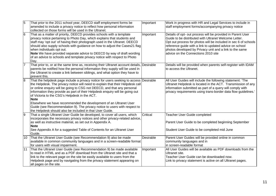| 5              | That prior to the 2011 school year, DEECD staff employment forms be<br>amended to include a privacy notice to reflect how personal information<br>collected on those forms will be used in the Ultranet.                                                                                                                                                                                                                                                                                                                                                                                                         | Important | Work in progress with HR and Legal Services to include in<br>staff employment forms/accompanying privacy notice                                                                                                                                                                                                                                      |
|----------------|------------------------------------------------------------------------------------------------------------------------------------------------------------------------------------------------------------------------------------------------------------------------------------------------------------------------------------------------------------------------------------------------------------------------------------------------------------------------------------------------------------------------------------------------------------------------------------------------------------------|-----------|------------------------------------------------------------------------------------------------------------------------------------------------------------------------------------------------------------------------------------------------------------------------------------------------------------------------------------------------------|
| 6              | That as a matter of priority, DEECD provides schools with a template<br>privacy notice pertaining to Photo Day, which explains that students and<br>staff may 'opt out' of having their photograph used in the Ultranet. DEECD<br>should also supply schools with guidance on how to adjust the Cases21 flag<br>when individuals opt out.<br>Note We have provided separate advice to DEECD by way of draft wording<br>of an advice to schools and template privacy notice with respect to Photo<br>Day.                                                                                                         | Important | Details of opt- out process will be provided in Parent User<br>Guide to be distributed with Ultranet Welcome Letter.<br>Opt out process for photos will be included in sec 6 of schools<br>reference guide with a link to updated advice on school<br>photos developed by Privacy unit and a link to the same<br>advice on the Connections 2010 site |
| 7              | That prior to, or at the same time as, receiving their Ultranet account details, Desirable<br>parents be notified how the personal information they supply will be used in<br>the Ultranet to create a link between siblings, and what option they have to<br>prevent this.                                                                                                                                                                                                                                                                                                                                      |           | Details will be provided when parents self-register with IDAM<br>to access the Ultranet.                                                                                                                                                                                                                                                             |
| $\overline{8}$ | That the helpdesk page include a privacy notice for users seeking to access Desirable<br>the Helpdesk. The privacy notice will need to explain that their Helpdesk call<br>or online enquiry will be going to CSG not DEECD, and that any personal<br>information they provide as part of their Helpdesk enquiry will be going out<br>of Victoria to the CSG's Helpdesk in the ACT.<br><b>Note</b><br>Elsewhere we have recommended the development of an Ultranet User<br>Guide (see Recommendation 9). The privacy notice to users with respect to<br>the Helpdesk should also be included in that User Guide. |           | All User Guides will include the following statement: 'The<br>Ultranet Helpdesk is located in the ACT. Transmission of any<br>information submitted as part of a query will comply with<br>privacy requirements using trans-border data flow guidelines.'                                                                                            |
| $\overline{9}$ | That a single Ultranet User Guide be developed, to cover all users, which<br>incorporates the necessary privacy notices and other privacy-related advice,<br>as well as instructive material, as set out in Appendix A.<br><b>Note</b><br>See Appendix A for a suggested Table of Contents for an Ultranet User<br>Guide.                                                                                                                                                                                                                                                                                        | Critical  | Teacher User Guide completed<br>Parent User Guide to be completed beginning September<br>Student User Guide to be completed mid June                                                                                                                                                                                                                 |
| 10             | That the Ultranet User Guide (see Recommendation 9) also be made<br>available in common community languages and in a screen-readable format<br>for users with visual impairment.                                                                                                                                                                                                                                                                                                                                                                                                                                 | Desirable | Parent User Guides will be provided online in common<br>community languages and in<br>in screen-readable format                                                                                                                                                                                                                                      |
| 11             | That the Ultranet User Guide (see Recommendation 9) be made available<br>to read in HTML and as a PDF download from the Ultranet site and that a<br>link to the relevant page on the site be easily available to users from the<br>Helpdesk page and by navigating from the privacy statement appearing on<br>all pages on the site.                                                                                                                                                                                                                                                                             | Important | All User Guides will be available as PDF downloads from the<br>Ultranet site.<br>Teacher User Guide can be downloaded now.<br>Link to privacy statement is active on all Ultranet pages.                                                                                                                                                             |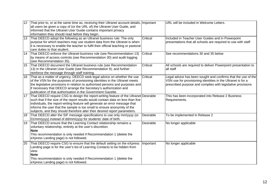| 12 | That prior to, or at the same time as, receiving their Ultranet account details, Important |           | URL will be included in Welcome Letters.                       |
|----|--------------------------------------------------------------------------------------------|-----------|----------------------------------------------------------------|
|    | all users be given a copy of (or the URL of) the Ultranet User Guide, and                  |           |                                                                |
|    | informed that the Ultranet User Guide contains important privacy                           |           |                                                                |
|    | information they should read before they begin.                                            |           |                                                                |
| 13 | That DEECD adopt the following as an Ultranet business rule: The only                      | Critical  | Included in Teacher User Guides and in Powerpoint              |
|    | purpose for which teachers may use student data from the Ultranet is when                  |           | presentations that all schools are required to use with staff  |
|    | it is necessary to enable the teacher to fulfil their official teaching or pastoral        |           |                                                                |
|    | care duties to that student.                                                               |           |                                                                |
| 14 | That DEECD enforce the Ultranet business rule (see Recommendation 13)                      | Critical  | See recommendations 30 and 35 below                            |
|    | by means of access controls (see Recommendation 30) and audit logging                      |           |                                                                |
|    | (see Recommendation 35).                                                                   |           |                                                                |
| 15 | That DEECD document the Ultranet business rule (see Recommendation                         | Critical  | All schools are required to deliver Powerpoint presentation to |
|    | 13) in the Ultranet User Guide (see Recommendation 9), and further                         |           | all staff                                                      |
|    | reinforce the message through staff training.                                              |           |                                                                |
| 16 | That as a matter of urgency, DEECD seek legal advice on whether the use                    | Critical  | Legal advice has been sought and confirms that the use of the  |
|    | of the VSN for the purposes of provisioning identities in the Ultranet meets               |           | VSN use for provisioning identities in the Ultranet is for a   |
|    | the legislative provisions in relation to authorised persons and purposes and              |           | prescribed purpose and complies with legislative provisions    |
|    | lif necessary that DEECD arrange the Secretary's authorization and                         |           |                                                                |
|    | publication of that authorisation in the Government Gazette.                               |           |                                                                |
|    |                                                                                            |           |                                                                |
| 17 | That DEECD require CSG to design the report-writing feature of the Ultranet Desirable      |           | This has been incorporated into Release 2 Business             |
|    | such that if the size of the report results would contain data on less than five           |           | Requirements.                                                  |
|    | individuals, the report-writing feature will generate an error message that                |           |                                                                |
|    | informs the user that the sample is too small to ensure anonymity of the                   |           |                                                                |
|    | subjects, and they should therefore alter their desired report parameters.                 |           |                                                                |
| 18 | That DEECD alter the SIF message specifications to use only mm/yyyy (or                    | Desirable | To be implemented in Release 2                                 |
|    | 01/mm/yyyy) instead of dd/mm/yyyy for students' date of birth.                             |           |                                                                |
| 19 | That DEECD ensure that the Learning Contact relationship remains a                         | Desirable | No longer applicable                                           |
|    | voluntary relationship, entirely at the user's discretion.                                 |           |                                                                |
|    | <b>Note</b>                                                                                |           |                                                                |
|    | This recommendation is only needed if Recommendation 1 (delete the                         |           |                                                                |
|    | eXpress Landing page) is not followed.                                                     |           |                                                                |
|    |                                                                                            |           |                                                                |
| 20 | That DEECD require CSG to ensure that the default setting on the eXpress                   | Important | No longer applicable                                           |
|    | Landing page is for the user's list of Learning Contacts to be hidden from                 |           |                                                                |
|    | view.                                                                                      |           |                                                                |
|    | <b>Note</b>                                                                                |           |                                                                |
|    | This recommendation is only needed if Recommendation 1 (delete the                         |           |                                                                |
|    | eXpress Landing page) is not followed.                                                     |           |                                                                |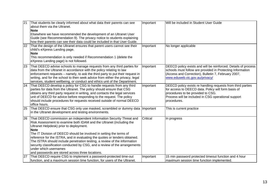| 21              | That students be clearly informed about what data their parents can see<br>about them via the Ultranet.<br><b>Note</b><br>Elsewhere we have recommended the development of an Ultranet User<br>Guide (see Recommendation 9). The privacy notice to students explaining<br>how their parents can see their data could be included in that User Guide.                                                                                                                                                                                                                                                | Important | Will be included in Student User Guide                                                                                                                                                                                        |
|-----------------|-----------------------------------------------------------------------------------------------------------------------------------------------------------------------------------------------------------------------------------------------------------------------------------------------------------------------------------------------------------------------------------------------------------------------------------------------------------------------------------------------------------------------------------------------------------------------------------------------------|-----------|-------------------------------------------------------------------------------------------------------------------------------------------------------------------------------------------------------------------------------|
| $\overline{22}$ | That the design of the Ultranet ensures that parent users cannot see their<br>child's eXpress Landing page.<br><b>Note</b><br>This recommendation is only needed if Recommendation 1 (delete the<br>eXpress Landing page) is not followed.                                                                                                                                                                                                                                                                                                                                                          | Important | No longer applicable                                                                                                                                                                                                          |
| 23              | That DEECD advise schools to manage requests from any third parties for<br>data from the Ultranet in accordance with the policy relating to law<br>enforcement requests – namely, to ask the third party to put their request in<br>writing, and for the school to then seek advice from either the privacy, legal<br>services, student wellbeing, or conduct and ethics unit of the Department.                                                                                                                                                                                                    | Important | DEECD policy exists and will be reinforced. Details of process<br>schools must follow are provided in Protecting Information<br>(Access and Correction), Bulletin 7, February 2007,<br>www.eduweb.vic.gov.au/privacy/         |
| 24              | That DEECD develop a policy for CSG to handle requests from any third<br>parties for data from the Ultranet. The policy should ensure that CSG<br>obtains any third party request in writing, and contacts the legal services<br>unit of DEECD for advice before responding to the request. The policy<br>should include procedures for requests received outside of normal DEECD<br>office hours.                                                                                                                                                                                                  | Important | DEECD policy exists re handling requests from third parties<br>for access to DEECD data. Policy will form basis of<br>procedures to be provided to CSG.<br>Process will be included in CSG operational support<br>procedures. |
| 25              | That DEECD ensure that CSG only use masked, scrambled or dummy data Important<br>in the Ultranet development and testing environments.                                                                                                                                                                                                                                                                                                                                                                                                                                                              |           | This is current practice                                                                                                                                                                                                      |
| 26              | That DEECD commission an independent Information Security Threat and<br>Risk Assessment to examine both IDAM and the Ultranet (including the<br>Ultranet Helpdesk) prior to deployment.<br><b>Note</b><br>The IT Division of DEECD should be involved in setting the terms of<br>reference for the ISTRA, and in evaluating the quotes or tenders obtained.<br>The ISTRA should include penetration testing, a review of the information<br>security classification conducted by CSG, and a review of the arrangements<br>under which usernames<br>and passwords are stored across three locations. | Critical  | In progress                                                                                                                                                                                                                   |
| $\overline{27}$ | That DEECD require CSG to implement a password-protected time-out<br>function, and a maximum session time function, for users of the Ultranet.                                                                                                                                                                                                                                                                                                                                                                                                                                                      | Important | 15 min password protected timeout function and 4 hour<br>maximum session time function implemented.                                                                                                                           |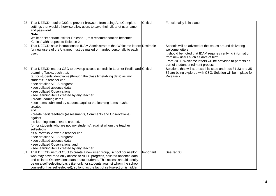| 28 | That DEECD require CSG to prevent browsers from using AutoComplete<br>settings that would otherwise allow users to save their Ultranet username<br>and password.<br><b>Note</b><br>While an 'Important' risk for Release 1, this recommendation becomes<br>'Critical' with respect to Release 2.                                                                                                                                                                                                                                                                                                                                                                                                                                                                                                                                                                                                      | Critical  | Functionality is in place                                                                                                                                                                                                                                                              |
|----|-------------------------------------------------------------------------------------------------------------------------------------------------------------------------------------------------------------------------------------------------------------------------------------------------------------------------------------------------------------------------------------------------------------------------------------------------------------------------------------------------------------------------------------------------------------------------------------------------------------------------------------------------------------------------------------------------------------------------------------------------------------------------------------------------------------------------------------------------------------------------------------------------------|-----------|----------------------------------------------------------------------------------------------------------------------------------------------------------------------------------------------------------------------------------------------------------------------------------------|
| 29 | That DEECD issue instructions to IDAM Administrators that Welcome letters Desirable<br>for new users of the Ultranet must be mailed or handed personally to each<br>user.                                                                                                                                                                                                                                                                                                                                                                                                                                                                                                                                                                                                                                                                                                                             |           | Schools will be advised of the issues around delivering<br>welcome letters.<br>It should be noted that IDAM requires verifying information<br>from new users such as date of birth.<br>From 2011, Welcome letters will be provided to parents as<br>part of student enrolment process. |
| 30 | That DEECD instruct CSG to develop access controls in Learner Profile and Critical<br>Learning Tasks, such that:<br>(a) for students identifiable (through the class timetabling data) as 'my<br>students', a teacher can:<br>• see detailed VELS progress<br>· see collated absence data<br>• see collated Observations<br>• see learning items created by any teacher<br>• create learning items<br>• see items submitted by students against the learning items he/she<br>created,<br>and<br>• create / edit feedback (assessments, Comments and Observations)<br>against<br>the learning items he/she created.<br>(b) for students who are not 'my students', against whom the teacher<br>selfselects<br>as a Portfolio Viewer, a teacher can:<br>• see detailed VELS progress<br>· see collated absence data<br>• see collated Observations, and<br>• see learning items created by any teacher. |           | Solutions that will address this issue and recs 31-33 and 35-<br>36 are being explored with CSG. Solution will be in place for<br>Release 2.                                                                                                                                           |
| 31 | That DEECD instruct CSG to create a new user group, 'school counsellor',<br>who may have read-only access to VELS progress, collated absence data<br>and collated Observations data about students. This access should ideally<br>be on a self-selecting basis (i.e. only for students against whom the school<br>counsellor has self-selected), so long as the fact of self-selection is hidden                                                                                                                                                                                                                                                                                                                                                                                                                                                                                                      | Important | See rec 30                                                                                                                                                                                                                                                                             |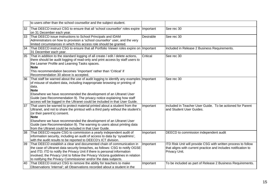|    | to users other than the school counsellor and the subject student.                                                                                                                                                                                                                                                                                                                                                        |           |                                                                                                                                                  |
|----|---------------------------------------------------------------------------------------------------------------------------------------------------------------------------------------------------------------------------------------------------------------------------------------------------------------------------------------------------------------------------------------------------------------------------|-----------|--------------------------------------------------------------------------------------------------------------------------------------------------|
| 32 | That DEECD instruct CSG to ensure that all 'school counsellor' roles expire   Important<br>on 31 December each year.                                                                                                                                                                                                                                                                                                      |           | See rec 30                                                                                                                                       |
| 33 | That DEECD issue instructions to School Principals and IDAM<br>Administrators on how to provision a 'school counsellor' user, and the very<br>limited circumstances in which this access role should be granted.                                                                                                                                                                                                          | Desirable | See rec 30                                                                                                                                       |
| 34 | That DEECD instruct CSG to ensure that all Portfolio Viewer roles expire on Important<br>31 December each year.                                                                                                                                                                                                                                                                                                           |           | Included in Release 2 Business Requirements.                                                                                                     |
| 35 | That in addition to the standard logging of all create / edit / delete actions,<br>there should be audit logging of read-only and print access by staff users to<br>the Learner Profile and Learning Tasks spaces.<br><b>Note</b><br>This recommendation becomes 'Important' rather than 'Critical' if<br>Recommendation 30 above is accepted.                                                                            | Critical  | See rec 30                                                                                                                                       |
| 36 | That staff be warned about the use of audit logging to identify any examples Important<br>of misuse of student data, including inappropriate browsing or printing of<br>data.<br><b>Note</b><br>Elsewhere we have recommended the development of an Ultranet User<br>Guide (see Recommendation 9). The privacy notice explaining how staff<br>access will be logged in the Ultranet could be included in that User Guide. |           | See rec 30                                                                                                                                       |
| 37 | That users be warned to protect material printed about a student from the<br>Ultranet, and not to share the printout with a third party without the student's<br>(or their parent's) consent.<br><b>Note</b><br>Elsewhere we have recommended the development of an Ultranet User<br>Guide (see Recommendation 9). The warning to users about printing data<br>from the Ultranet could be included in that User Guide.    | Important | Included in Teacher User Guide. To be actioned for Parent<br>and Student User Guides.                                                            |
| 38 | That DEECD require CSG to commission a yearly independent audit of<br>information security, including an audit of access to data by 'sysadmins',<br>with the audit results to be reported to DEECD's ICT division.                                                                                                                                                                                                        | Important | DEECD to commission independent audit                                                                                                            |
| 39 | That DEECD establish a clear and documented chain of communication in<br>the case of Ultranet data security breaches, as follows: CSG to notify OGSE<br>and ITD; ITD to notify the Privacy Unit if there is personal information<br>involved; the Privacy Unit to follow the Privacy Victoria guidelines in relation<br>to notifying the Privacy Commissioner and/or the data subjects.                                   | Important | ITD Risk Unit will provide CSG with written process to follow<br>that aligns with current practice and includes notification to<br>Privacy Unit. |
| 40 | That DEECD instruct CSG to remove the ability for teachers to make<br>Observations 'internal'; all Observations recorded about a student in the                                                                                                                                                                                                                                                                           | Important | To be included as part of Release 2 Business Requirements.                                                                                       |